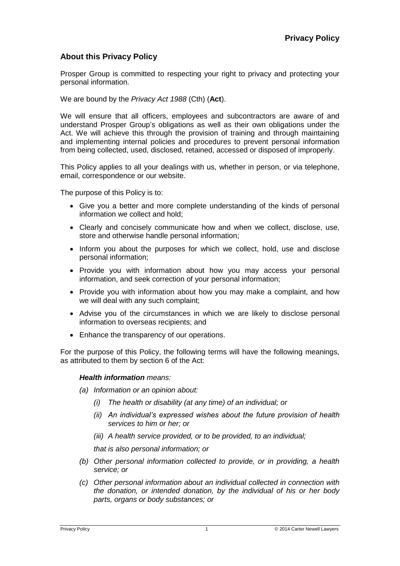# **About this Privacy Policy**

Prosper Group is committed to respecting your right to privacy and protecting your personal information.

We are bound by the *Privacy Act 1988* (Cth) (**Act**).

We will ensure that all officers, employees and subcontractors are aware of and understand Prosper Group's obligations as well as their own obligations under the Act. We will achieve this through the provision of training and through maintaining and implementing internal policies and procedures to prevent personal information from being collected, used, disclosed, retained, accessed or disposed of improperly.

This Policy applies to all your dealings with us, whether in person, or via telephone, email, correspondence or our website.

The purpose of this Policy is to:

- Give you a better and more complete understanding of the kinds of personal information we collect and hold;
- Clearly and concisely communicate how and when we collect, disclose, use, store and otherwise handle personal information;
- Inform you about the purposes for which we collect, hold, use and disclose personal information;
- Provide you with information about how you may access your personal information, and seek correction of your personal information;
- Provide you with information about how you may make a complaint, and how we will deal with any such complaint;
- Advise you of the circumstances in which we are likely to disclose personal information to overseas recipients; and
- Enhance the transparency of our operations.

For the purpose of this Policy, the following terms will have the following meanings, as attributed to them by section 6 of the Act:

#### *Health information means:*

*(a) Information or an opinion about:*

- *(i) The health or disability (at any time) of an individual; or*
- *(ii) An individual's expressed wishes about the future provision of health services to him or her; or*
- *(iii) A health service provided, or to be provided, to an individual;*

*that is also personal information; or*

- *(b) Other personal information collected to provide, or in providing, a health service; or*
- *(c) Other personal information about an individual collected in connection with the donation, or intended donation, by the individual of his or her body parts, organs or body substances; or*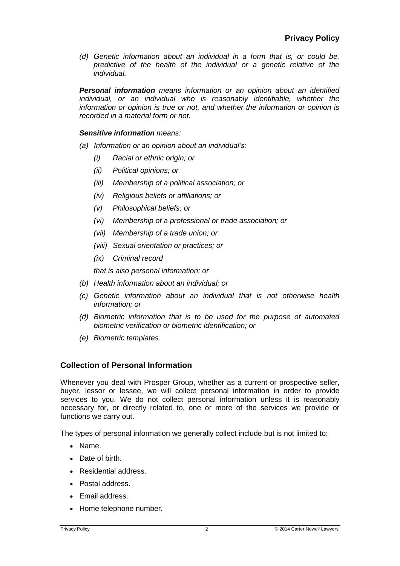*(d) Genetic information about an individual in a form that is, or could be, predictive of the health of the individual or a genetic relative of the individual.*

*Personal information means information or an opinion about an identified individual, or an individual who is reasonably identifiable, whether the information or opinion is true or not, and whether the information or opinion is recorded in a material form or not.*

#### *Sensitive information means:*

- *(a) Information or an opinion about an individual's:*
	- *(i) Racial or ethnic origin; or*
	- *(ii) Political opinions; or*
	- *(iii) Membership of a political association; or*
	- *(iv) Religious beliefs or affiliations; or*
	- *(v) Philosophical beliefs; or*
	- *(vi) Membership of a professional or trade association; or*
	- *(vii) Membership of a trade union; or*
	- *(viii) Sexual orientation or practices; or*
	- *(ix) Criminal record*

*that is also personal information; or*

- *(b) Health information about an individual; or*
- *(c) Genetic information about an individual that is not otherwise health information; or*
- *(d) Biometric information that is to be used for the purpose of automated biometric verification or biometric identification; or*
- *(e) Biometric templates.*

## **Collection of Personal Information**

Whenever you deal with Prosper Group, whether as a current or prospective seller, buyer, lessor or lessee, we will collect personal information in order to provide services to you. We do not collect personal information unless it is reasonably necessary for, or directly related to, one or more of the services we provide or functions we carry out.

The types of personal information we generally collect include but is not limited to:

- Name.
- Date of birth.
- Residential address.
- Postal address.
- Email address.
- Home telephone number.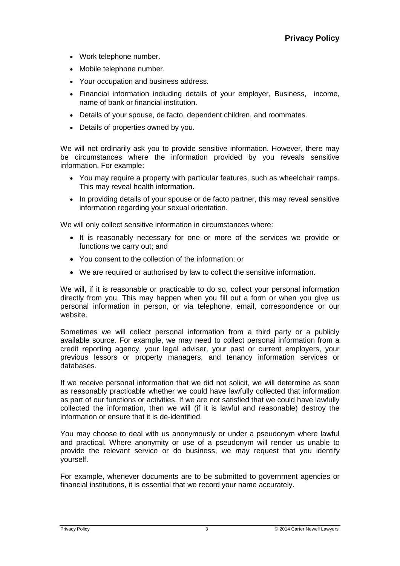- Work telephone number.
- Mobile telephone number.
- Your occupation and business address.
- Financial information including details of your employer, Business, income, name of bank or financial institution.
- Details of your spouse, de facto, dependent children, and roommates.
- Details of properties owned by you.

We will not ordinarily ask you to provide sensitive information. However, there may be circumstances where the information provided by you reveals sensitive information. For example:

- You may require a property with particular features, such as wheelchair ramps. This may reveal health information.
- In providing details of your spouse or de facto partner, this may reveal sensitive information regarding your sexual orientation.

We will only collect sensitive information in circumstances where:

- It is reasonably necessary for one or more of the services we provide or functions we carry out; and
- You consent to the collection of the information; or
- We are required or authorised by law to collect the sensitive information.

We will, if it is reasonable or practicable to do so, collect your personal information directly from you. This may happen when you fill out a form or when you give us personal information in person, or via telephone, email, correspondence or our website.

Sometimes we will collect personal information from a third party or a publicly available source. For example, we may need to collect personal information from a credit reporting agency, your legal adviser, your past or current employers, your previous lessors or property managers, and tenancy information services or databases.

If we receive personal information that we did not solicit, we will determine as soon as reasonably practicable whether we could have lawfully collected that information as part of our functions or activities. If we are not satisfied that we could have lawfully collected the information, then we will (if it is lawful and reasonable) destroy the information or ensure that it is de-identified.

You may choose to deal with us anonymously or under a pseudonym where lawful and practical. Where anonymity or use of a pseudonym will render us unable to provide the relevant service or do business, we may request that you identify yourself.

For example, whenever documents are to be submitted to government agencies or financial institutions, it is essential that we record your name accurately.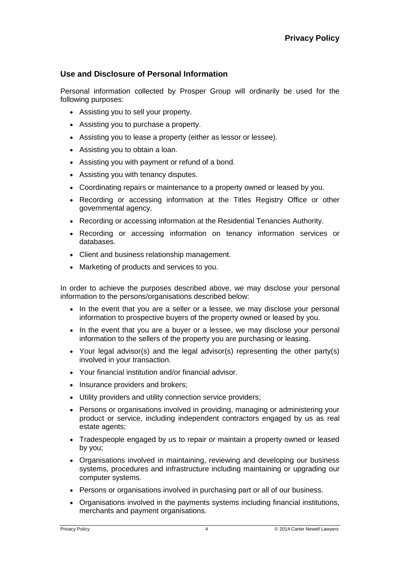# **Use and Disclosure of Personal Information**

Personal information collected by Prosper Group will ordinarily be used for the following purposes:

- Assisting you to sell your property.
- Assisting you to purchase a property.
- Assisting you to lease a property (either as lessor or lessee).
- Assisting you to obtain a loan.
- Assisting you with payment or refund of a bond.
- Assisting you with tenancy disputes.
- Coordinating repairs or maintenance to a property owned or leased by you.
- Recording or accessing information at the Titles Registry Office or other governmental agency.
- Recording or accessing information at the Residential Tenancies Authority.
- Recording or accessing information on tenancy information services or databases.
- Client and business relationship management.
- Marketing of products and services to you.

In order to achieve the purposes described above, we may disclose your personal information to the persons/organisations described below:

- In the event that you are a seller or a lessee, we may disclose your personal information to prospective buyers of the property owned or leased by you.
- In the event that you are a buyer or a lessee, we may disclose your personal information to the sellers of the property you are purchasing or leasing.
- Your legal advisor(s) and the legal advisor(s) representing the other party(s) involved in your transaction.
- Your financial institution and/or financial advisor.
- Insurance providers and brokers;
- Utility providers and utility connection service providers;
- Persons or organisations involved in providing, managing or administering your product or service, including independent contractors engaged by us as real estate agents;
- Tradespeople engaged by us to repair or maintain a property owned or leased by you;
- Organisations involved in maintaining, reviewing and developing our business systems, procedures and infrastructure including maintaining or upgrading our computer systems.
- Persons or organisations involved in purchasing part or all of our business.
- Organisations involved in the payments systems including financial institutions, merchants and payment organisations.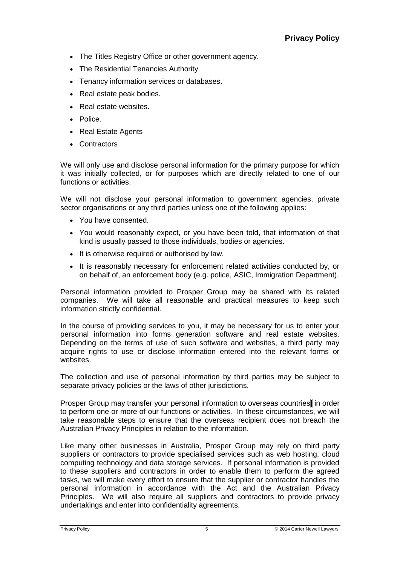- The Titles Registry Office or other government agency.
- The Residential Tenancies Authority.
- Tenancy information services or databases.
- Real estate peak bodies.
- Real estate websites.
- Police.
- Real Estate Agents
- Contractors

We will only use and disclose personal information for the primary purpose for which it was initially collected, or for purposes which are directly related to one of our functions or activities.

We will not disclose your personal information to government agencies, private sector organisations or any third parties unless one of the following applies:

- You have consented.
- You would reasonably expect, or you have been told, that information of that kind is usually passed to those individuals, bodies or agencies.
- It is otherwise required or authorised by law.
- It is reasonably necessary for enforcement related activities conducted by, or on behalf of, an enforcement body (e.g. police, ASIC, Immigration Department).

Personal information provided to Prosper Group may be shared with its related companies. We will take all reasonable and practical measures to keep such information strictly confidential.

In the course of providing services to you, it may be necessary for us to enter your personal information into forms generation software and real estate websites. Depending on the terms of use of such software and websites, a third party may acquire rights to use or disclose information entered into the relevant forms or websites.

The collection and use of personal information by third parties may be subject to separate privacy policies or the laws of other jurisdictions.

Prosper Group may transfer your personal information to overseas countries] in order to perform one or more of our functions or activities. In these circumstances, we will take reasonable steps to ensure that the overseas recipient does not breach the Australian Privacy Principles in relation to the information.

Like many other businesses in Australia, Prosper Group may rely on third party suppliers or contractors to provide specialised services such as web hosting, cloud computing technology and data storage services. If personal information is provided to these suppliers and contractors in order to enable them to perform the agreed tasks, we will make every effort to ensure that the supplier or contractor handles the personal information in accordance with the Act and the Australian Privacy Principles. We will also require all suppliers and contractors to provide privacy undertakings and enter into confidentiality agreements.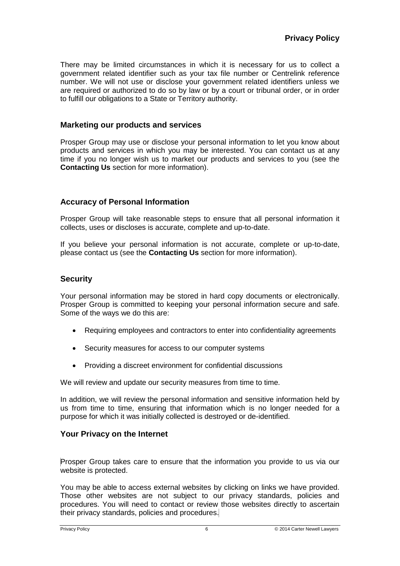There may be limited circumstances in which it is necessary for us to collect a government related identifier such as your tax file number or Centrelink reference number. We will not use or disclose your government related identifiers unless we are required or authorized to do so by law or by a court or tribunal order, or in order to fulfill our obligations to a State or Territory authority.

## **Marketing our products and services**

Prosper Group may use or disclose your personal information to let you know about products and services in which you may be interested. You can contact us at any time if you no longer wish us to market our products and services to you (see the **Contacting Us** section for more information).

## **Accuracy of Personal Information**

Prosper Group will take reasonable steps to ensure that all personal information it collects, uses or discloses is accurate, complete and up-to-date.

If you believe your personal information is not accurate, complete or up-to-date, please contact us (see the **Contacting Us** section for more information).

#### **Security**

Your personal information may be stored in hard copy documents or electronically. Prosper Group is committed to keeping your personal information secure and safe. Some of the ways we do this are:

- Requiring employees and contractors to enter into confidentiality agreements
- Security measures for access to our computer systems
- Providing a discreet environment for confidential discussions

We will review and update our security measures from time to time.

In addition, we will review the personal information and sensitive information held by us from time to time, ensuring that information which is no longer needed for a purpose for which it was initially collected is destroyed or de-identified.

## **Your Privacy on the Internet**

Prosper Group takes care to ensure that the information you provide to us via our website is protected.

You may be able to access external websites by clicking on links we have provided. Those other websites are not subject to our privacy standards, policies and procedures. You will need to contact or review those websites directly to ascertain their privacy standards, policies and procedures.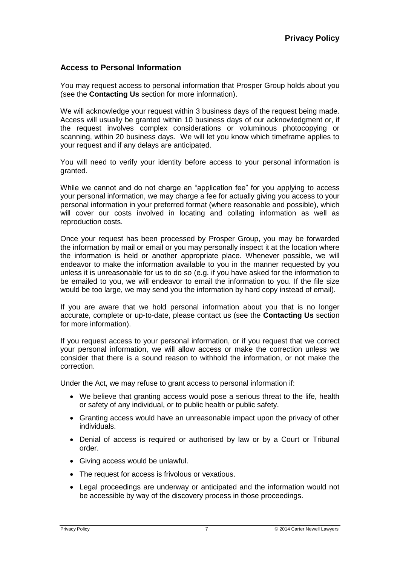# **Access to Personal Information**

You may request access to personal information that Prosper Group holds about you (see the **Contacting Us** section for more information).

We will acknowledge your request within 3 business days of the request being made. Access will usually be granted within 10 business days of our acknowledgment or, if the request involves complex considerations or voluminous photocopying or scanning, within 20 business days. We will let you know which timeframe applies to your request and if any delays are anticipated.

You will need to verify your identity before access to your personal information is granted.

While we cannot and do not charge an "application fee" for you applying to access your personal information, we may charge a fee for actually giving you access to your personal information in your preferred format (where reasonable and possible), which will cover our costs involved in locating and collating information as well as reproduction costs.

Once your request has been processed by Prosper Group, you may be forwarded the information by mail or email or you may personally inspect it at the location where the information is held or another appropriate place. Whenever possible, we will endeavor to make the information available to you in the manner requested by you unless it is unreasonable for us to do so (e.g. if you have asked for the information to be emailed to you, we will endeavor to email the information to you. If the file size would be too large, we may send you the information by hard copy instead of email).

If you are aware that we hold personal information about you that is no longer accurate, complete or up-to-date, please contact us (see the **Contacting Us** section for more information).

If you request access to your personal information, or if you request that we correct your personal information, we will allow access or make the correction unless we consider that there is a sound reason to withhold the information, or not make the correction.

Under the Act, we may refuse to grant access to personal information if:

- We believe that granting access would pose a serious threat to the life, health or safety of any individual, or to public health or public safety.
- Granting access would have an unreasonable impact upon the privacy of other individuals.
- Denial of access is required or authorised by law or by a Court or Tribunal order.
- Giving access would be unlawful.
- The request for access is frivolous or vexatious.
- Legal proceedings are underway or anticipated and the information would not be accessible by way of the discovery process in those proceedings.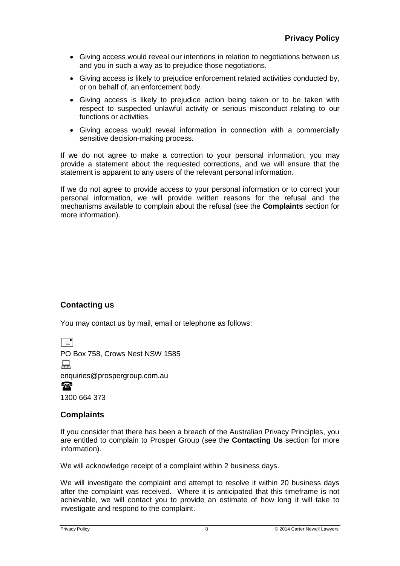- Giving access would reveal our intentions in relation to negotiations between us and you in such a way as to prejudice those negotiations.
- Giving access is likely to prejudice enforcement related activities conducted by, or on behalf of, an enforcement body.
- Giving access is likely to prejudice action being taken or to be taken with respect to suspected unlawful activity or serious misconduct relating to our functions or activities.
- Giving access would reveal information in connection with a commercially sensitive decision-making process.

If we do not agree to make a correction to your personal information, you may provide a statement about the requested corrections, and we will ensure that the statement is apparent to any users of the relevant personal information.

If we do not agree to provide access to your personal information or to correct your personal information, we will provide written reasons for the refusal and the mechanisms available to complain about the refusal (see the **Complaints** section for more information).

# **Contacting us**

You may contact us by mail, email or telephone as follows:

 $\boxed{=}$ 

PO Box 758, Crows Nest NSW 1585

■

enquiries@prospergroup.com.au

 $\mathbf{P}$ 

1300 664 373

# **Complaints**

If you consider that there has been a breach of the Australian Privacy Principles, you are entitled to complain to Prosper Group (see the **Contacting Us** section for more information).

We will acknowledge receipt of a complaint within 2 business days.

We will investigate the complaint and attempt to resolve it within 20 business days after the complaint was received. Where it is anticipated that this timeframe is not achievable, we will contact you to provide an estimate of how long it will take to investigate and respond to the complaint.